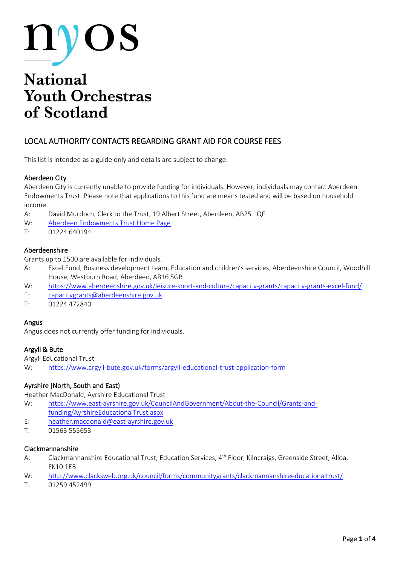

# **National Youth Orchestras** of Scotland

# LOCAL AUTHORITY CONTACTS REGARDING GRANT AID FOR COURSE FEES

This list is intended as a guide only and details are subject to change.

#### Aberdeen City

Aberdeen City is currently unable to provide funding for individuals. However, individuals may contact Aberdeen Endowments Trust. Please note that applications to this fund are means tested and will be based on household income.

- A: David Murdoch, Clerk to the Trust, 19 Albert Street, Aberdeen, AB25 1QF
- W: [Aberdeen Endowments Trust Home Page](http://aberdeenendowmentstrust.co.uk/index_1.html#:~:text=The%20Aberdeen%20Endowments%20Trust%20has%20helped%20the%20people,of%20grants%20available%20are%20shown%20on%20the%20right.)
- T: 01224 640194

#### Aberdeenshire

Grants up to £500 are available for individuals.

- A: Excel Fund, Business development team, Education and children's services, Aberdeenshire Council, Woodhill House, Westburn Road, Aberdeen, AB16 5GB
- W: <https://www.aberdeenshire.gov.uk/leisure-sport-and-culture/capacity-grants/capacity-grants-excel-fund/>
- E: [capacitygrants@aberdeenshire.gov.uk](mailto:capacitygrants@aberdeenshire.gov.uk)
- T: [01224 472840](tel:01224472840)

#### Angus

Angus does not currently offer funding for individuals.

#### Argyll & Bute

Argyll Educational Trust

W: <https://www.argyll-bute.gov.uk/forms/argyll-educational-trust-application-form>

#### Ayrshire (North, South and East)

Heather MacDonald, Ayrshire Educational Trust

- W: [https://www.east-ayrshire.gov.uk/CouncilAndGovernment/About-the-Council/Grants-and](https://www.east-ayrshire.gov.uk/CouncilAndGovernment/About-the-Council/Grants-and-funding/AyrshireEducationalTrust.aspx)[funding/AyrshireEducationalTrust.aspx](https://www.east-ayrshire.gov.uk/CouncilAndGovernment/About-the-Council/Grants-and-funding/AyrshireEducationalTrust.aspx)
- E: [heather.macdonald@east-ayrshire.gov.uk](mailto:heather.macdonald@east-ayrshire.gov.uk)
- T: 01563 555653

#### Clackmannanshire

- A: Clackmannanshire Educational Trust, Education Services, 4<sup>th</sup> Floor, Kilncraigs, Greenside Street, Alloa, FK10 1EB
- W: <http://www.clacksweb.org.uk/council/forms/communitygrants/clackmannanshireeducationaltrust/>
- T: 01259 452499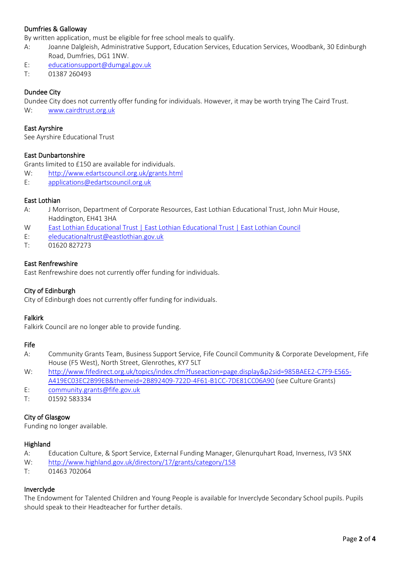#### Dumfries & Galloway

By written application, must be eligible for free school meals to qualify.

- A: Joanne Dalgleish, Administrative Support, Education Services, Education Services, Woodbank, 30 Edinburgh Road, Dumfries, DG1 1NW.
- E: [educationsupport@dumgal.gov.uk](mailto:educationsupport@dumgal.gov.uk)
- T: 01387 260493

#### Dundee City

Dundee City does not currently offer funding for individuals. However, it may be worth trying The Caird Trust. W: [www.cairdtrust.org.uk](http://www.cairdtrust.org.uk/)

#### East Ayrshire

See Ayrshire Educational Trust

#### East Dunbartonshire

Grants limited to £150 are available for individuals.

W: <http://www.edartscouncil.org.uk/grants.html>

E: [applications@edartscouncil.org.uk](mailto:applications@edartscouncil.org.uk)

#### East Lothian

- A: J Morrison, Department of Corporate Resources, East Lothian Educational Trust, John Muir House, Haddington, EH41 3HA
- W [East Lothian Educational Trust | East Lothian Educational Trust | East Lothian Council](https://www.eastlothian.gov.uk/info/210557/schools_and_learning/12333/east_lothian_educational_trust/1)
- E: [eleducationaltrust@eastlothian.gov.uk](mailto:eleducationaltrust@eastlothian.gov.uk)
- T: 01620 827273

#### East Renfrewshire

East Renfrewshire does not currently offer funding for individuals.

#### City of Edinburgh

City of Edinburgh does not currently offer funding for individuals.

#### Falkirk

Falkirk Council are no longer able to provide funding.

#### Fife

- A: Community Grants Team, Business Support Service, Fife Council Community & Corporate Development, Fife House (F5 West), North Street, Glenrothes, KY7 5LT
- W: [http://www.fifedirect.org.uk/topics/index.cfm?fuseaction=page.display&p2sid=985BAEE2-C7F9-E565-](http://www.fifedirect.org.uk/topics/index.cfm?fuseaction=page.display&p2sid=985BAEE2-C7F9-E565-A419EC03EC2B99EB&themeid=2B892409-722D-4F61-B1CC-7DE81CC06A90) [A419EC03EC2B99EB&themeid=2B892409-722D-4F61-B1CC-7DE81CC06A90](http://www.fifedirect.org.uk/topics/index.cfm?fuseaction=page.display&p2sid=985BAEE2-C7F9-E565-A419EC03EC2B99EB&themeid=2B892409-722D-4F61-B1CC-7DE81CC06A90) (see Culture Grants)
- E: [community.grants@fife.gov.uk](mailto:community.grants@fife.gov.uk)
- T: 01592 583334

#### City of Glasgow

Funding no longer available.

#### **Highland**

- A: Education Culture, & Sport Service, External Funding Manager, Glenurquhart Road, Inverness, IV3 5NX
- W: <http://www.highland.gov.uk/directory/17/grants/category/158>
- T: 01463 702064

#### Inverclyde

The Endowment for Talented Children and Young People is available for Inverclyde Secondary School pupils. Pupils should speak to their Headteacher for further details.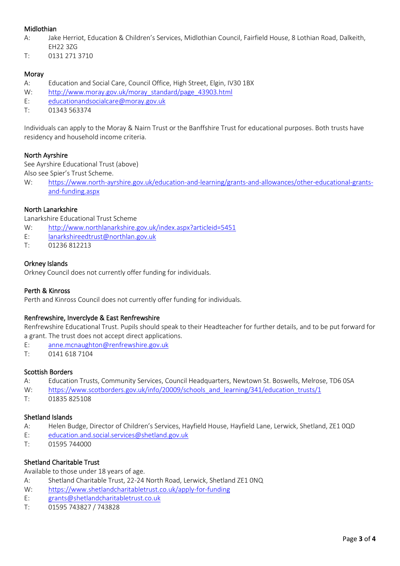#### Midlothian

- A: Jake Herriot, Education & Children's Services, Midlothian Council, Fairfield House, 8 Lothian Road, Dalkeith, EH22 3ZG
- T: 0131 271 3710

#### Moray

- A: Education and Social Care, Council Office, High Street, Elgin, IV30 1BX
- W: [http://www.moray.gov.uk/moray\\_standard/page\\_43903.html](http://www.moray.gov.uk/moray_standard/page_43903.html)
- E: [educationandsocialcare@moray.gov.uk](mailto:educationandsocialcare@moray.gov.uk)
- T: 01343 563374

Individuals can apply to the Moray & Nairn Trust or the Banffshire Trust for educational purposes. Both trusts have residency and household income criteria.

#### North Ayrshire

See Ayrshire Educational Trust (above) Also see Spier's Trust Scheme.

W: [https://www.north-ayrshire.gov.uk/education-and-learning/grants-and-allowances/other-educational-grants](https://www.north-ayrshire.gov.uk/education-and-learning/grants-and-allowances/other-educational-grants-and-funding.aspx)[and-funding.aspx](https://www.north-ayrshire.gov.uk/education-and-learning/grants-and-allowances/other-educational-grants-and-funding.aspx)

#### North Lanarkshire

Lanarkshire Educational Trust Scheme

- W: <http://www.northlanarkshire.gov.uk/index.aspx?articleid=5451>
- E: [lanarkshireedtrust@northlan.gov.uk](mailto:lanarkshireedtrust@northlan.gov.uk)
- T: 01236 812213

#### Orkney Islands

Orkney Council does not currently offer funding for individuals.

#### Perth & Kinross

Perth and Kinross Council does not currently offer funding for individuals.

#### Renfrewshire, Inverclyde & East Renfrewshire

Renfrewshire Educational Trust. Pupils should speak to their Headteacher for further details, and to be put forward for a grant. The trust does not accept direct applications.

- E: [anne.mcnaughton@renfrewshire.gov.uk](mailto:anne.mcnaughton@renfrewshire.gov.uk)
- T: 0141 618 7104

#### Scottish Borders

- A: Education Trusts, Community Services, Council Headquarters, Newtown St. Boswells, Melrose, TD6 0SA
- W: [https://www.scotborders.gov.uk/info/20009/schools\\_and\\_learning/341/education\\_trusts/1](https://www.scotborders.gov.uk/info/20009/schools_and_learning/341/education_trusts/1)
- T: 01835 825108

#### Shetland Islands

- A: Helen Budge, Director of Children's Services, Hayfield House, Hayfield Lane, Lerwick, Shetland, ZE1 0QD
- E: [education.and.social.services@shetland.gov.uk](mailto:education.and.social.services@shetland.gov.uk)
- T: 01595 744000

#### Shetland Charitable Trust

Available to those under 18 years of age.

- A: Shetland Charitable Trust, 22-24 North Road, Lerwick, Shetland ZE1 0NQ
- W: <https://www.shetlandcharitabletrust.co.uk/apply-for-funding>
- E: [grants@shetlandcharitabletrust.co.uk](mailto:grants@shetlandcharitabletrust.co.uk)
- T: 01595 743827 / 743828